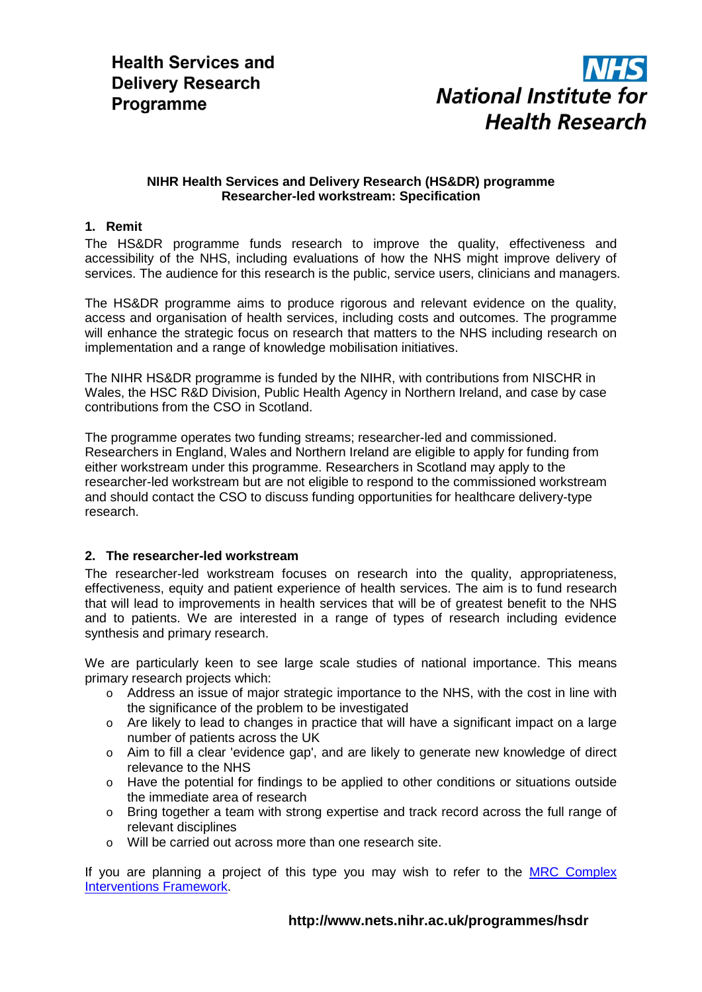

### **NIHR Health Services and Delivery Research (HS&DR) programme Researcher-led workstream: Specification**

# **1. Remit**

The HS&DR programme funds research to improve the quality, effectiveness and accessibility of the NHS, including evaluations of how the NHS might improve delivery of services. The audience for this research is the public, service users, clinicians and managers.

The HS&DR programme aims to produce rigorous and relevant evidence on the quality, access and organisation of health services, including costs and outcomes. The programme will enhance the strategic focus on research that matters to the NHS including research on implementation and a range of knowledge mobilisation initiatives.

The NIHR HS&DR programme is funded by the NIHR, with contributions from NISCHR in Wales, the HSC R&D Division, Public Health Agency in Northern Ireland, and case by case contributions from the CSO in Scotland.

The programme operates two funding streams; researcher-led and commissioned. Researchers in England, Wales and Northern Ireland are eligible to apply for funding from either workstream under this programme. Researchers in Scotland may apply to the researcher-led workstream but are not eligible to respond to the commissioned workstream and should contact the CSO to discuss funding opportunities for healthcare delivery-type research.

# **2. The researcher-led workstream**

The researcher-led workstream focuses on research into the quality, appropriateness, effectiveness, equity and patient experience of health services. The aim is to fund research that will lead to improvements in health services that will be of greatest benefit to the NHS and to patients. We are interested in a range of types of research including evidence synthesis and primary research.

We are particularly keen to see large scale studies of national importance. This means primary research projects which:

- o Address an issue of major strategic importance to the NHS, with the cost in line with the significance of the problem to be investigated
- o Are likely to lead to changes in practice that will have a significant impact on a large number of patients across the UK
- o Aim to fill a clear 'evidence gap', and are likely to generate new knowledge of direct relevance to the NHS
- o Have the potential for findings to be applied to other conditions or situations outside the immediate area of research
- o Bring together a team with strong expertise and track record across the full range of relevant disciplines
- o Will be carried out across more than one research site.

If you are planning a project of this type you may wish to refer to the [MRC Complex](http://www.mrc.ac.uk/Utilities/Documentrecord/index.htm?d=MRC004871)  [Interventions Framework.](http://www.mrc.ac.uk/Utilities/Documentrecord/index.htm?d=MRC004871)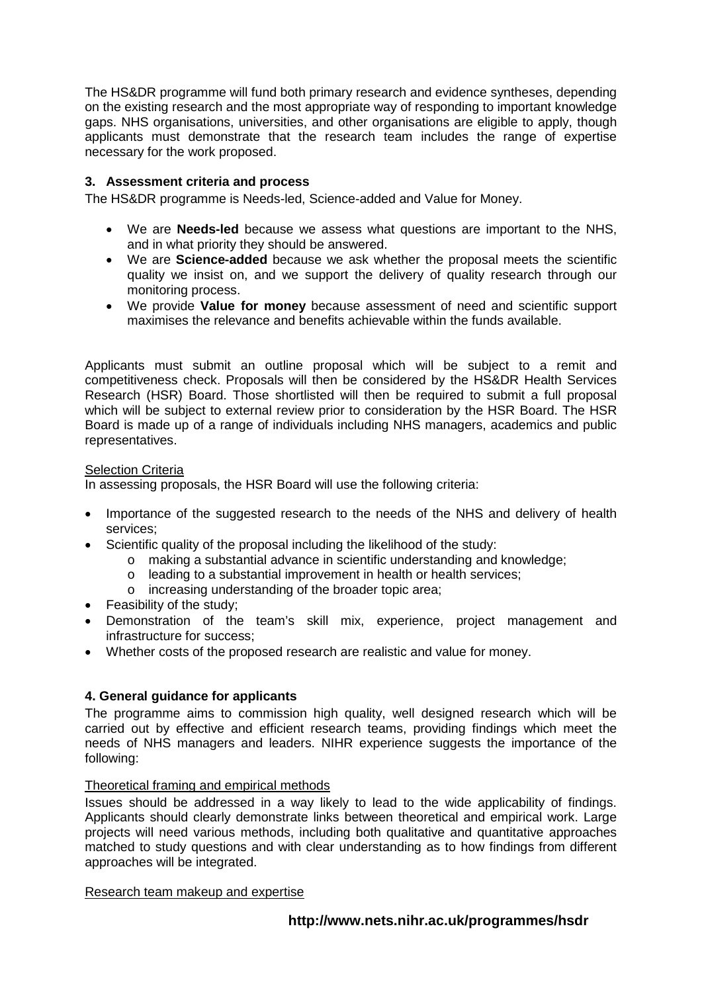The HS&DR programme will fund both primary research and evidence syntheses, depending on the existing research and the most appropriate way of responding to important knowledge gaps. NHS organisations, universities, and other organisations are eligible to apply, though applicants must demonstrate that the research team includes the range of expertise necessary for the work proposed.

# **3. Assessment criteria and process**

The HS&DR programme is Needs-led, Science-added and Value for Money.

- We are **Needs-led** because we assess what questions are important to the NHS, and in what priority they should be answered.
- We are **Science-added** because we ask whether the proposal meets the scientific quality we insist on, and we support the delivery of quality research through our monitoring process.
- We provide **Value for money** because assessment of need and scientific support maximises the relevance and benefits achievable within the funds available.

Applicants must submit an outline proposal which will be subject to a remit and competitiveness check. Proposals will then be considered by the HS&DR Health Services Research (HSR) Board. Those shortlisted will then be required to submit a full proposal which will be subject to external review prior to consideration by the HSR Board. The HSR Board is made up of a range of individuals including NHS managers, academics and public representatives.

# Selection Criteria

In assessing proposals, the HSR Board will use the following criteria:

- Importance of the suggested research to the needs of the NHS and delivery of health services;
- Scientific quality of the proposal including the likelihood of the study:
	- o making a substantial advance in scientific understanding and knowledge;
	- o leading to a substantial improvement in health or health services;<br>o increasing understanding of the broader topic area:
	- increasing understanding of the broader topic area;
- Feasibility of the study;
- Demonstration of the team's skill mix, experience, project management and infrastructure for success;
- Whether costs of the proposed research are realistic and value for money.

# **4. General guidance for applicants**

The programme aims to commission high quality, well designed research which will be carried out by effective and efficient research teams, providing findings which meet the needs of NHS managers and leaders. NIHR experience suggests the importance of the following:

# Theoretical framing and empirical methods

Issues should be addressed in a way likely to lead to the wide applicability of findings. Applicants should clearly demonstrate links between theoretical and empirical work. Large projects will need various methods, including both qualitative and quantitative approaches matched to study questions and with clear understanding as to how findings from different approaches will be integrated.

#### Research team makeup and expertise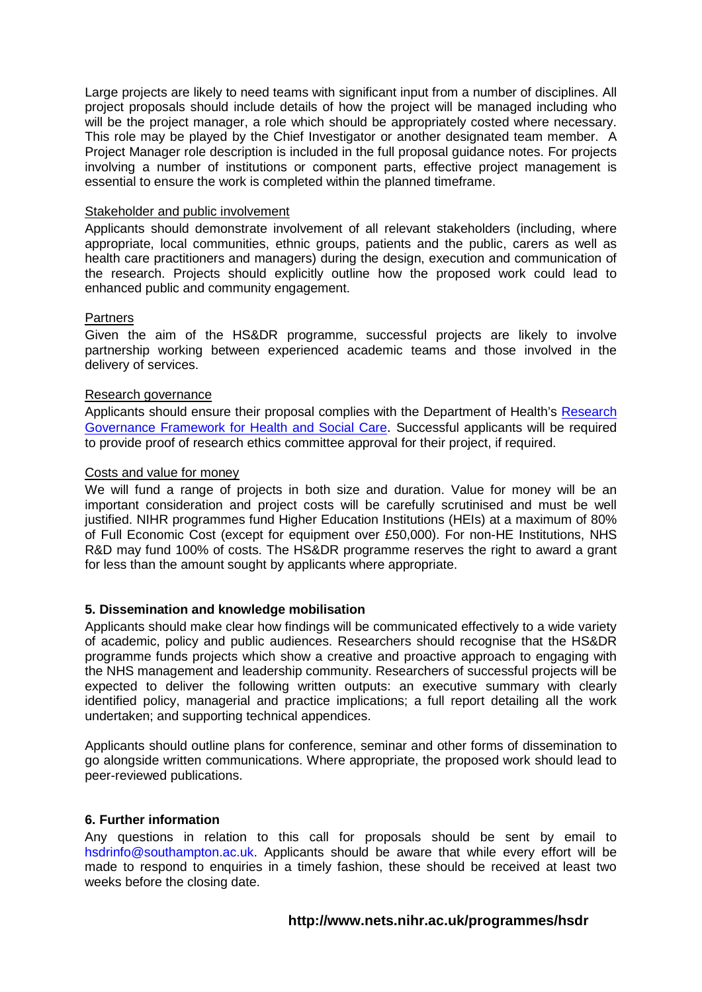Large projects are likely to need teams with significant input from a number of disciplines. All project proposals should include details of how the project will be managed including who will be the project manager, a role which should be appropriately costed where necessary. This role may be played by the Chief Investigator or another designated team member. A Project Manager role description is included in the full proposal guidance notes. For projects involving a number of institutions or component parts, effective project management is essential to ensure the work is completed within the planned timeframe.

### Stakeholder and public involvement

Applicants should demonstrate involvement of all relevant stakeholders (including, where appropriate, local communities, ethnic groups, patients and the public, carers as well as health care practitioners and managers) during the design, execution and communication of the research. Projects should explicitly outline how the proposed work could lead to enhanced public and community engagement.

### **Partners**

Given the aim of the HS&DR programme, successful projects are likely to involve partnership working between experienced academic teams and those involved in the delivery of services.

### Research governance

Applicants should ensure their proposal complies with the Department of Health's [Research](http://www.dh.gov.uk/en/publicationsandstatistics/publications/publicationspolicyandguidance/dh_4108962)  [Governance Framework for Health and Social Care.](http://www.dh.gov.uk/en/publicationsandstatistics/publications/publicationspolicyandguidance/dh_4108962) Successful applicants will be required to provide proof of research ethics committee approval for their project, if required.

### Costs and value for money

We will fund a range of projects in both size and duration. Value for money will be an important consideration and project costs will be carefully scrutinised and must be well justified. NIHR programmes fund Higher Education Institutions (HEIs) at a maximum of 80% of Full Economic Cost (except for equipment over £50,000). For non-HE Institutions, NHS R&D may fund 100% of costs. The HS&DR programme reserves the right to award a grant for less than the amount sought by applicants where appropriate.

# **5. Dissemination and knowledge mobilisation**

Applicants should make clear how findings will be communicated effectively to a wide variety of academic, policy and public audiences. Researchers should recognise that the HS&DR programme funds projects which show a creative and proactive approach to engaging with the NHS management and leadership community. Researchers of successful projects will be expected to deliver the following written outputs: an executive summary with clearly identified policy, managerial and practice implications; a full report detailing all the work undertaken; and supporting technical appendices.

Applicants should outline plans for conference, seminar and other forms of dissemination to go alongside written communications. Where appropriate, the proposed work should lead to peer-reviewed publications.

#### **6. Further information**

Any questions in relation to this call for proposals should be sent by email to hsdrinfo@southampton.ac.uk. Applicants should be aware that while every effort will be made to respond to enquiries in a timely fashion, these should be received at least two weeks before the closing date.